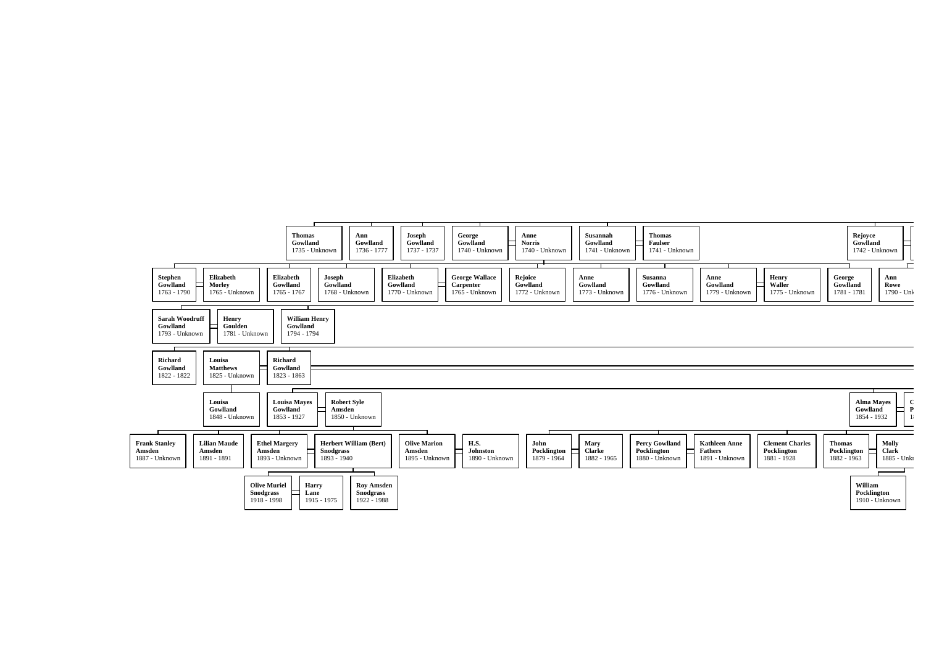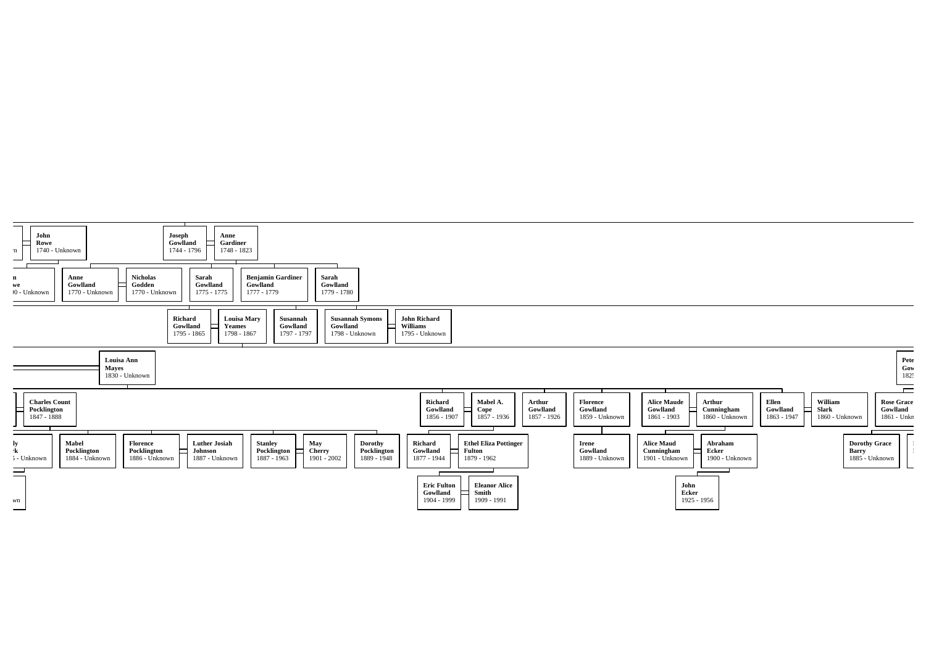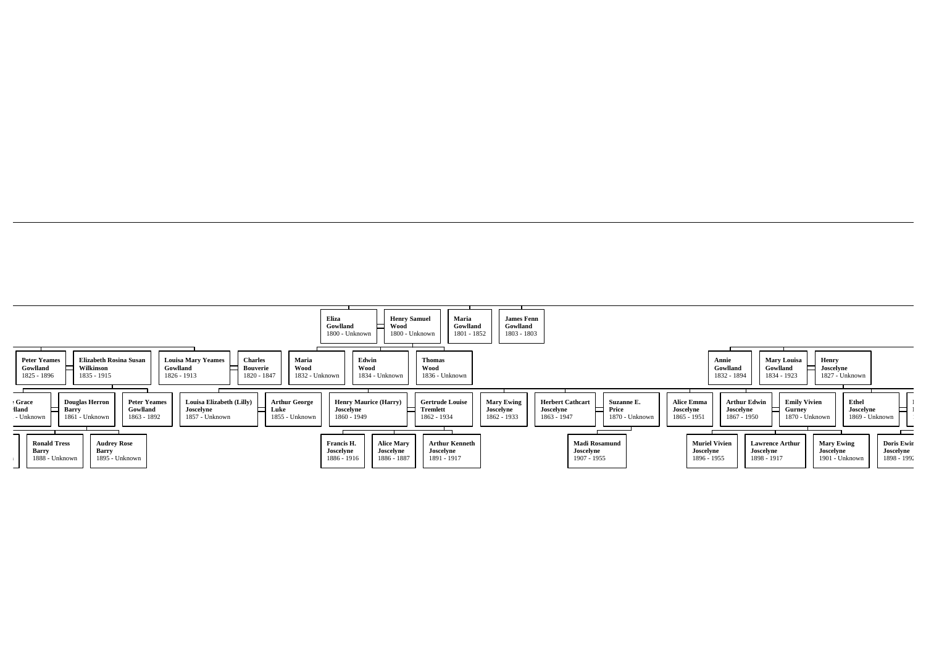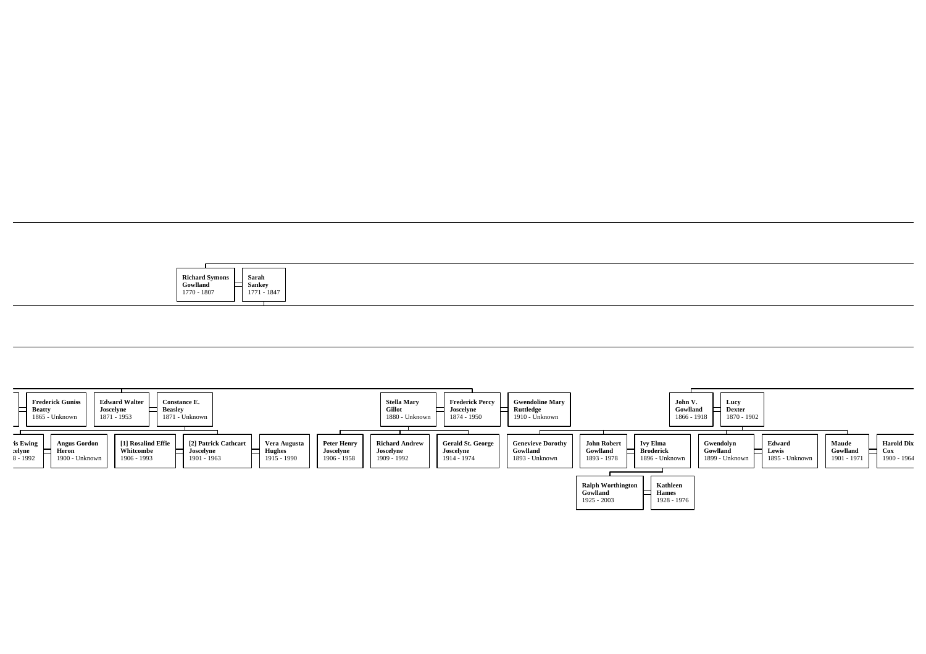| <b>Richard Symons</b><br>the control of the con-<br>Saran<br>.<br>Gowlland<br>s en<br>Sanke\<br>$0 - 1807$<br>1770<br>1771 - 1847<br>1/1V |
|-------------------------------------------------------------------------------------------------------------------------------------------|
|-------------------------------------------------------------------------------------------------------------------------------------------|

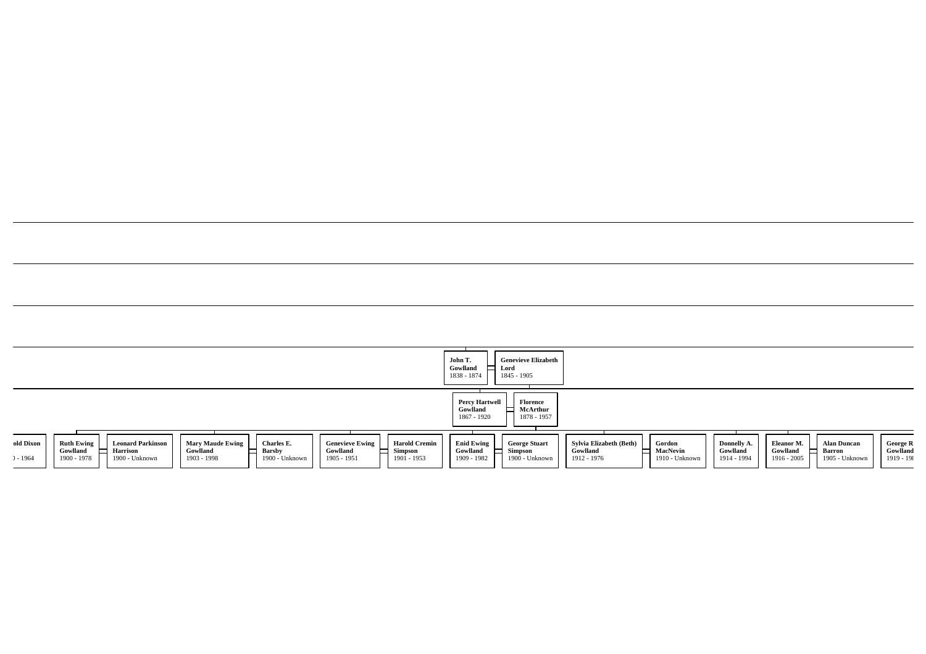|                                                                                                                                                                                                                                                                                                                                                     | <b>Genevieve Elizabeth</b><br>John T.<br>Gowlland<br>Lord<br>1838 - 1874<br>1845 - 1905                                                                                                                                                                                                                                                                                             |
|-----------------------------------------------------------------------------------------------------------------------------------------------------------------------------------------------------------------------------------------------------------------------------------------------------------------------------------------------------|-------------------------------------------------------------------------------------------------------------------------------------------------------------------------------------------------------------------------------------------------------------------------------------------------------------------------------------------------------------------------------------|
|                                                                                                                                                                                                                                                                                                                                                     | <b>Percy Hartwell</b><br>Florence<br>McArthur<br>Gowlland<br>1878 - 1957<br>1867 - 1920                                                                                                                                                                                                                                                                                             |
| <b>Genevieve Ewing</b><br>old Dixon<br><b>Ruth Ewing</b><br><b>Mary Maude Ewing</b><br>Charles E.<br><b>Harold Cremin</b><br><b>Leonard Parkinson</b><br><b>Simpson</b><br>Harrison<br>Gowlland<br>Gowlland<br>Gowlland<br><b>Barsby</b><br>1901 - 1953<br>1900 - 1978<br>1900 - Unknown<br>1903 - 1998<br>1900 - Unknown<br>1905 - 1951<br>$-1964$ | <b>Enid Ewing</b><br>Sylvia Elizabeth (Beth)<br>Eleanor M.<br>Gordon<br><b>George Stuart</b><br>Donnelly A.<br><b>Alan Duncan</b><br>George R<br>Gowlland<br>Gowlland<br>Gowlland<br>Simpson<br>Gowlland<br>MacNevin<br>Gowlland<br><b>Barron</b><br>1916 - 2005<br>1909 - 1982<br>1900 - Unknown<br>$1919 - 198$<br>1912 - 1976<br>1910 - Unknown<br>1914 - 1994<br>1905 - Unknown |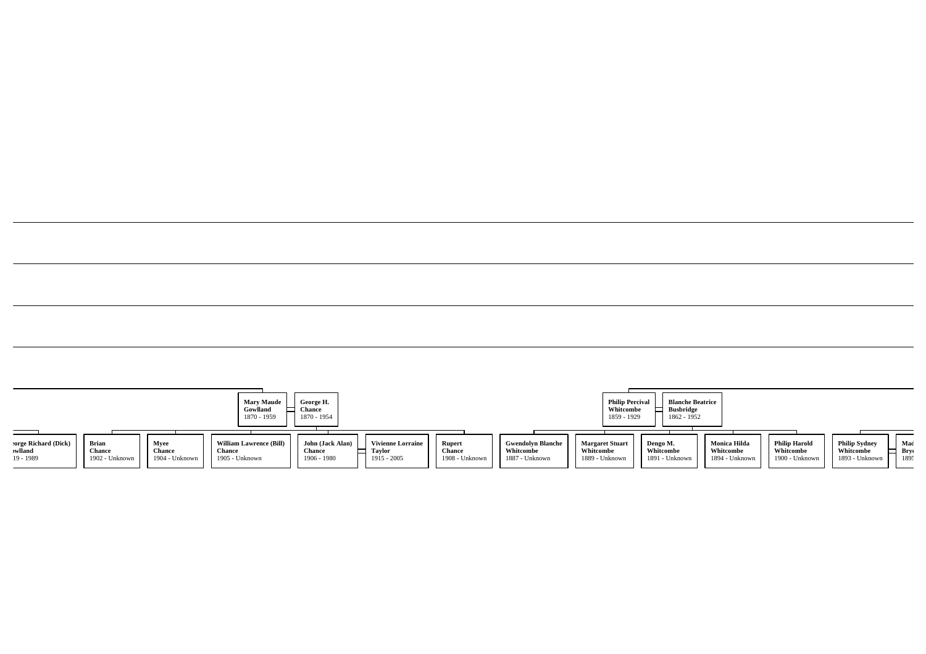|                     |                |                | <b>Mary Maude</b><br>Gowlland<br>1870 - 1959 | George H.<br><b>Chance</b><br>1870 - 1954 |                          |                |                          | <b>Philip Percival</b><br>Whitcombe<br>1859 - 1929 | <b>Blanche Beatrice</b><br><b>Busbridge</b><br>1862 - 1952 |                     |                      |                      |      |
|---------------------|----------------|----------------|----------------------------------------------|-------------------------------------------|--------------------------|----------------|--------------------------|----------------------------------------------------|------------------------------------------------------------|---------------------|----------------------|----------------------|------|
| orge Richard (Dick) | Brian          | Myee           | <b>William Lawrence (Bill)</b>               | John (Jack Alan)                          | <b>Vivienne Lorraine</b> | <b>Rupert</b>  | <b>Gwendolyn Blanche</b> | <b>Margaret Stuart</b>                             | Dengo M.                                                   | <b>Monica Hilda</b> | <b>Philip Harold</b> | <b>Philip Sydney</b> | Mad  |
| wlland              | Chance         | Chance         | <b>Chance</b>                                | Chance                                    | Taylor                   | <b>Chance</b>  | Whitcombe                | Whitcombe                                          | Whitcombe                                                  | Whitcombe           | Whitcombe            | Whitcombe            | Bryc |
| 19 - 1989           | 1902 - Unknown | 1904 - Unknown | 1905 - Unknown                               | $1906 - 1980$                             | 1915 - 2005              | 1908 - Unknown | 1887 - Unknown           | 1889 - Unknown                                     | 1891 - Unknown                                             | 1894 - Unknown      | 1900 - Unknown       | 1893 - Unknown       | 1895 |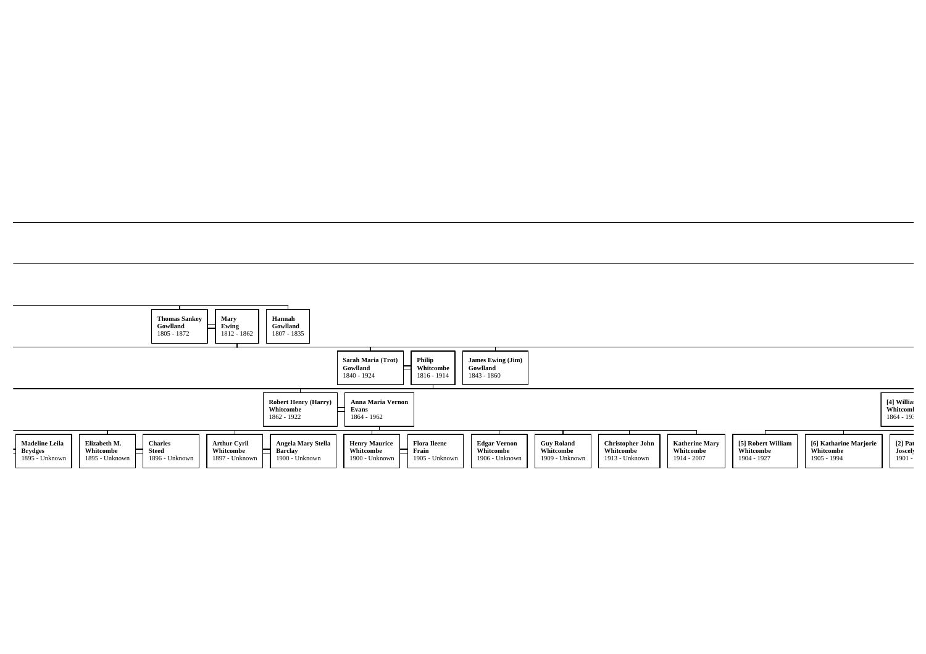|                                                                                                          | Mary<br><b>Thomas Sankey</b><br>Ewing<br>Gowlland<br>1805 - 1872<br>1812 - 1862                        | Hannah<br>Gowlland<br>1807 - 1835                           |                                                          |                                                                                                      |                                                  |                                                        |                                                   |                                                |                                                    |                                      |
|----------------------------------------------------------------------------------------------------------|--------------------------------------------------------------------------------------------------------|-------------------------------------------------------------|----------------------------------------------------------|------------------------------------------------------------------------------------------------------|--------------------------------------------------|--------------------------------------------------------|---------------------------------------------------|------------------------------------------------|----------------------------------------------------|--------------------------------------|
|                                                                                                          |                                                                                                        |                                                             | Sarah Maria (Trot)<br>Gowlland<br>1840 - 1924            | Philip<br>James Ewing (Jim)<br>Whitcombe<br>Gowlland<br>1816 - 1914<br>1843 - 1860                   |                                                  |                                                        |                                                   |                                                |                                                    |                                      |
|                                                                                                          |                                                                                                        | <b>Robert Henry (Harry)</b><br>Whitcombe<br>1862 - 1922     | Anna Maria Vernon<br>Evans<br>▭<br>1864 - 1962           |                                                                                                      |                                                  |                                                        |                                                   |                                                |                                                    | [4] Willia<br>Whitcom<br>$1864 - 19$ |
| <b>Madeline Leila</b><br>Elizabeth M.<br><b>Brydges</b><br>Whitcombe<br>1895 - Unknown<br>1895 - Unknown | <b>Arthur Cyril</b><br><b>Charles</b><br><b>Steed</b><br>Whitcombe<br>1896 - Unknown<br>1897 - Unknown | Angela Mary Stella<br><b>Barclay</b><br>ᄃ<br>1900 - Unknown | <b>Henry Maurice</b><br>Whitcombe<br>ᆷ<br>1900 - Unknown | <b>Flora Ileene</b><br><b>Edgar Vernon</b><br>Whitcombe<br>Frain<br>1905 - Unknown<br>1906 - Unknown | <b>Guy Roland</b><br>Whitcombe<br>1909 - Unknown | <b>Christopher John</b><br>Whitcombe<br>1913 - Unknown | <b>Katherine Mary</b><br>Whitcombe<br>1914 - 2007 | [5] Robert William<br>Whitcombe<br>1904 - 1927 | [6] Katharine Marjorie<br>Whitcombe<br>1905 - 1994 | $[2]$ Pat<br>Joscel<br>$1901 -$      |

the control of the control of the control of the control of the control of the control of the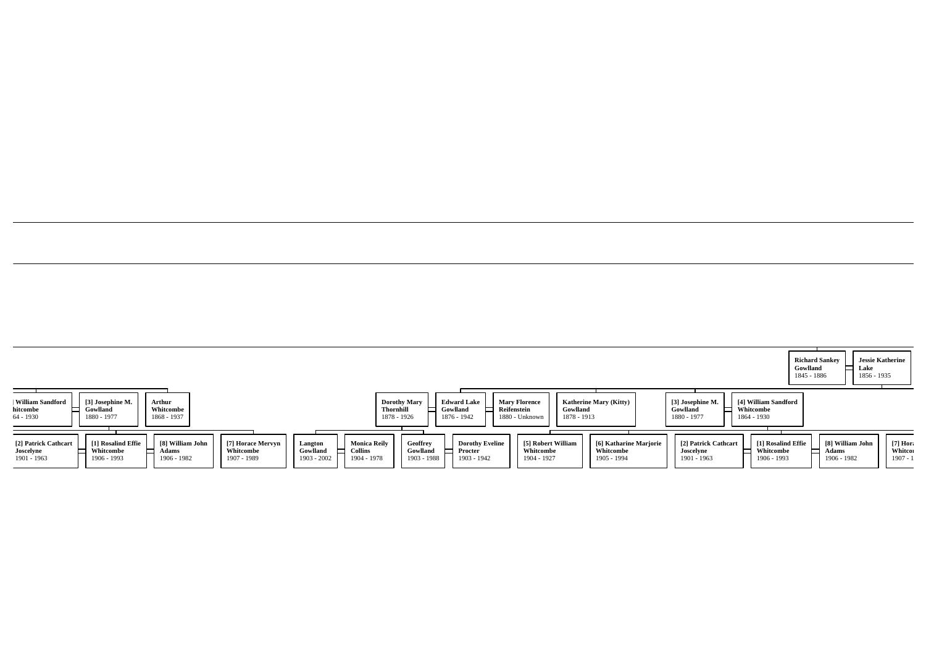|                                                                                                                                                                                                                                                                                        |                                                                                                                                                                                             |                                                                                                                                                          | <b>Jessie Katherine</b><br><b>Richard Sankev</b><br>Gowlland<br>Lake<br>1856 - 1935<br>1845 - 1886 |
|----------------------------------------------------------------------------------------------------------------------------------------------------------------------------------------------------------------------------------------------------------------------------------------|---------------------------------------------------------------------------------------------------------------------------------------------------------------------------------------------|----------------------------------------------------------------------------------------------------------------------------------------------------------|----------------------------------------------------------------------------------------------------|
| <b>William Sandford</b><br>[3] Josephine M.<br>Arthur<br>Whitcombe<br>hitcombe<br>Gowlland<br>1880 - 1977<br>1868 - 1937<br>64 - 1930                                                                                                                                                  | <b>Edward Lake</b><br><b>Dorothy Mary</b><br><b>Mary Florence</b><br><b>Thornhill</b><br>Gowlland<br>Reifenstein<br>Gowlland<br>1876 - 1942<br>1878 - 1926<br>1878 - 1913<br>1880 - Unknown | [4] William Sandford<br><b>Katherine Mary (Kitty)</b><br>[3] Josephine M.<br>Whitcombe<br>Gowlland<br>1880 - 1977<br>1864 - 1930                         |                                                                                                    |
| [2] Patrick Cathcart<br>[1] Rosalind Effie<br>[8] William John<br><b>Monica Reily</b><br>[7] Horace Mervyn<br>Langton<br>Whitcombe<br>Adams<br>Whitcombe<br>Gowlland<br>Collins<br>Joscelyne<br>1906 - 1982<br>1904 - 1978<br>1906 - 1993<br>1901 - 1963<br>1903 - 2002<br>1907 - 1989 | [5] Robert William<br><b>Dorothy Eveline</b><br>Geoffrey<br>Whitcombe<br>Gowlland<br>Procter<br>1903 - 1942<br>1903 - 1988<br>1904 - 1927                                                   | [6] Katharine Marjorie<br>[1] Rosalind Effie<br>[2] Patrick Cathcart<br>Whitcombe<br>Joscelyne<br>Whitcombe<br>1905 - 1994<br>1901 - 1963<br>1906 - 1993 | $[7]$ Hor:<br>[8] William John<br>Whitcor<br>Adams<br>$1907 - 1$<br>1906 - 1982                    |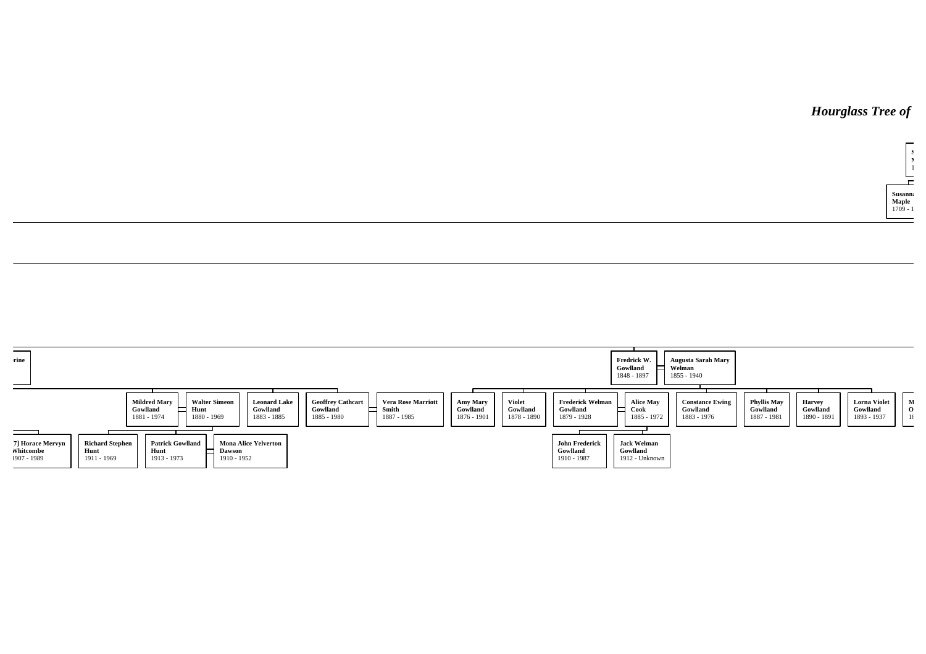## **Hourglass Tree of**



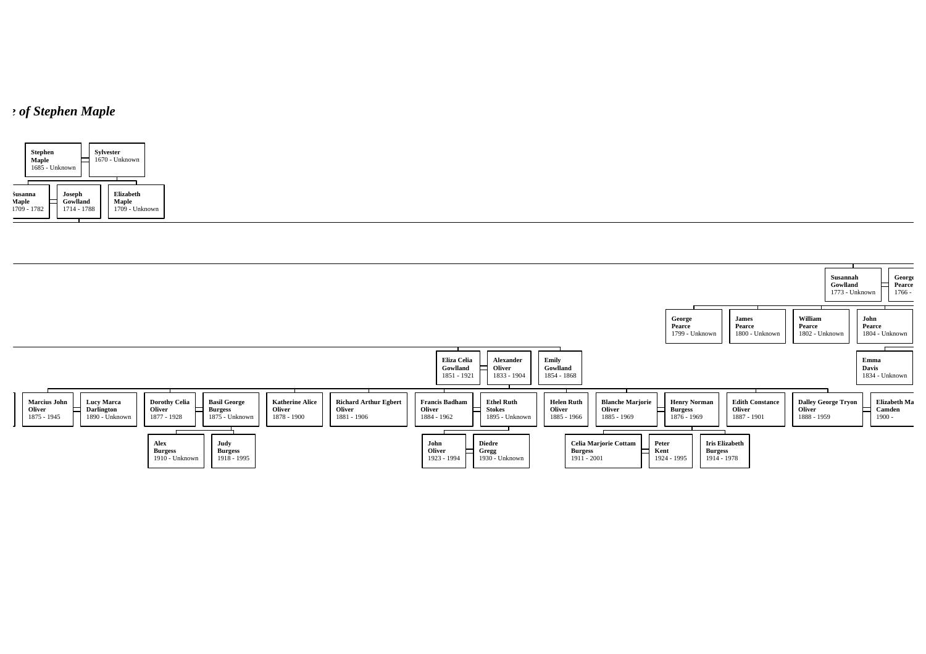## *<i>n* of Stephen Maple



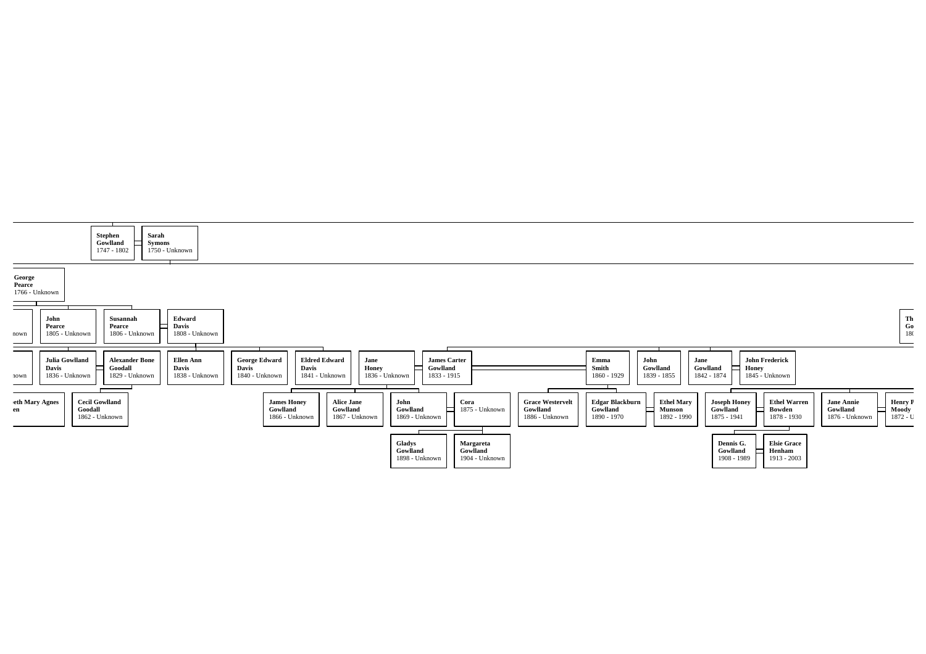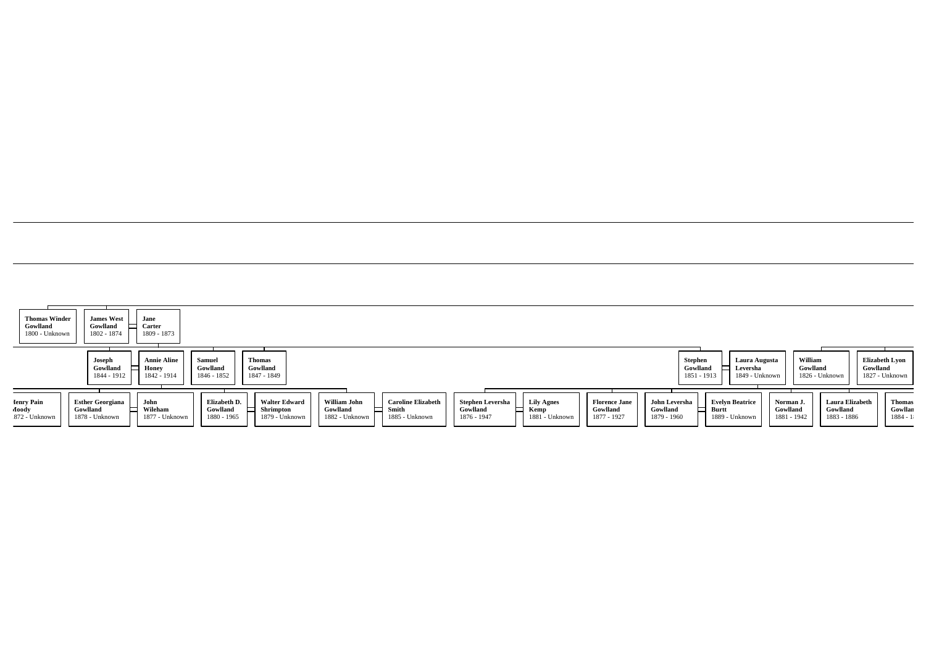| <b>Thomas Winder</b><br>Gowlland<br>1800 - Unknown | <b>James West</b><br>Gowlland<br>1802 - 1874          | Jane<br>Carter<br>1809 - 1873              |                                         |                                                     |                                            |                                                      |                                                    |                                             |                                                 |                                          |                                                   |                                      |                                       |                        |                                         |
|----------------------------------------------------|-------------------------------------------------------|--------------------------------------------|-----------------------------------------|-----------------------------------------------------|--------------------------------------------|------------------------------------------------------|----------------------------------------------------|---------------------------------------------|-------------------------------------------------|------------------------------------------|---------------------------------------------------|--------------------------------------|---------------------------------------|------------------------|-----------------------------------------|
|                                                    | Joseph<br>Gowlland<br>1844 - 1912                     | <b>Annie Aline</b><br>Honey<br>1842 - 1914 | Samuel<br>Gowlland<br>1846 - 1852       | <b>Thomas</b><br>Gowlland<br>1847 - 1849            |                                            |                                                      |                                                    |                                             |                                                 | Stephen<br>Gowlland                      | Leversha<br>1851 - 1913                           | Laura Augusta<br>1849 - Unknown      | William<br>Gowlland<br>1826 - Unknown | Gowlland               | <b>Elizabeth Lyon</b><br>1827 - Unknown |
| <b>Ienry Pain</b><br>Aoody<br>872 - Unknown        | <b>Esther Georgiana</b><br>Gowlland<br>1878 - Unknown | John<br>Wileham<br>1877 - Unknown          | Elizabeth D.<br>Gowlland<br>1880 - 1965 | <b>Walter Edward</b><br>Shrimpton<br>1879 - Unknown | William John<br>Gowlland<br>1882 - Unknown | <b>Caroline Elizabeth</b><br>Smith<br>1885 - Unknown | <b>Stephen Leversha</b><br>Gowlland<br>1876 - 1947 | <b>Lily Agnes</b><br>Kemp<br>1881 - Unknown | <b>Florence Jane</b><br>Gowlland<br>1877 - 1927 | John Leversha<br>Gowlland<br>1879 - 1960 | <b>Evelyn Beatrice</b><br>Burtt<br>1889 - Unknown | Norman J.<br>Gowlland<br>1881 - 1942 | Gowlland<br>1883 - 1886               | <b>Laura Elizabeth</b> | <b>Thomas</b><br>Gowllan<br>$1884 - 1$  |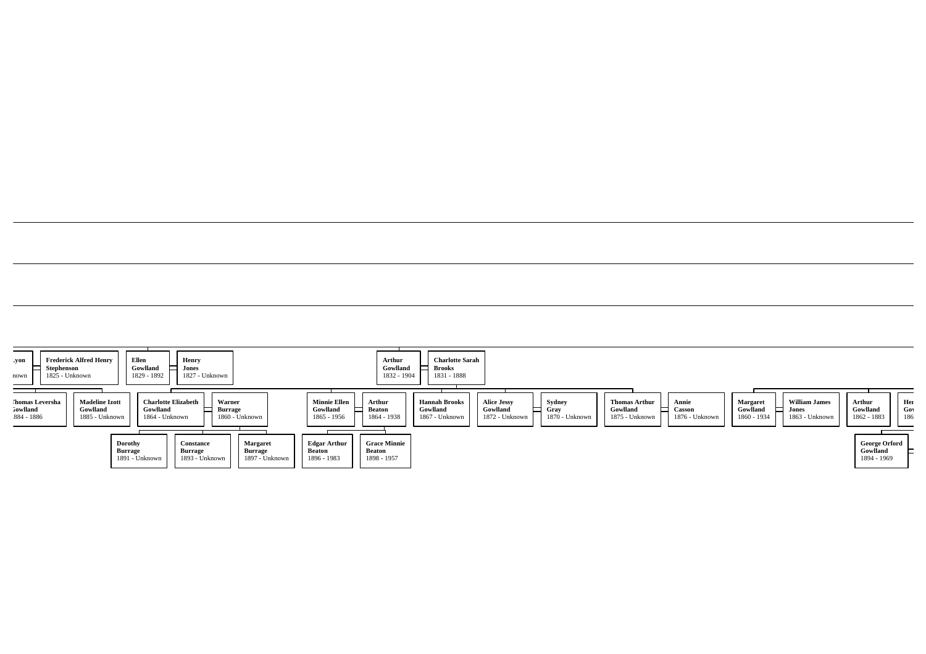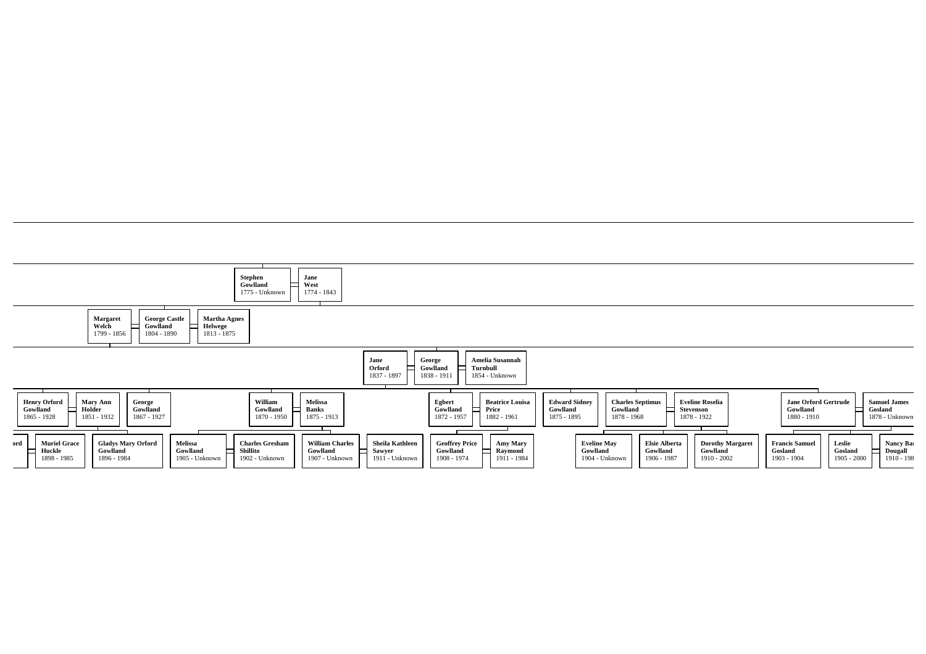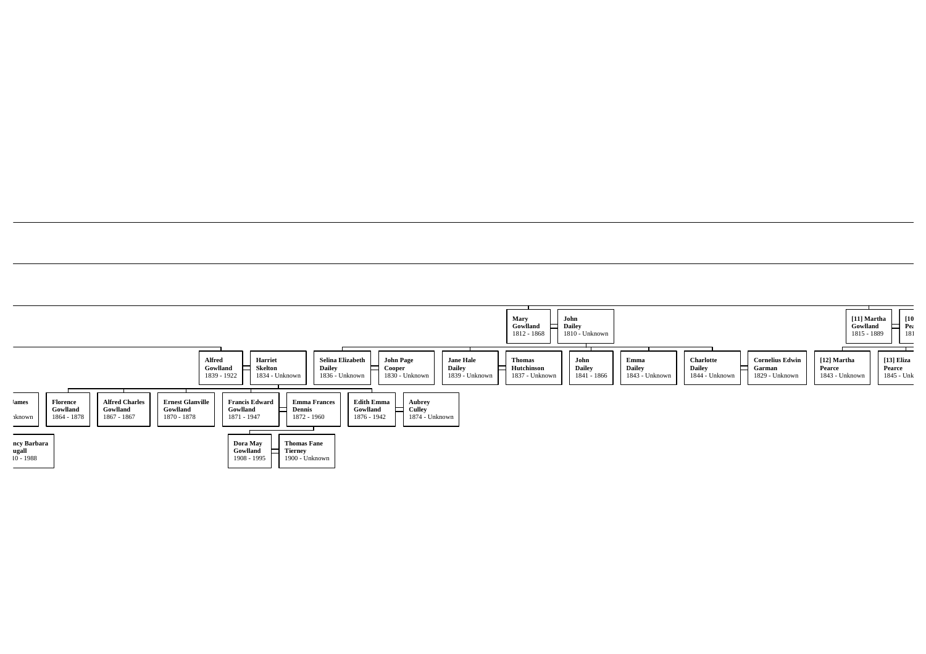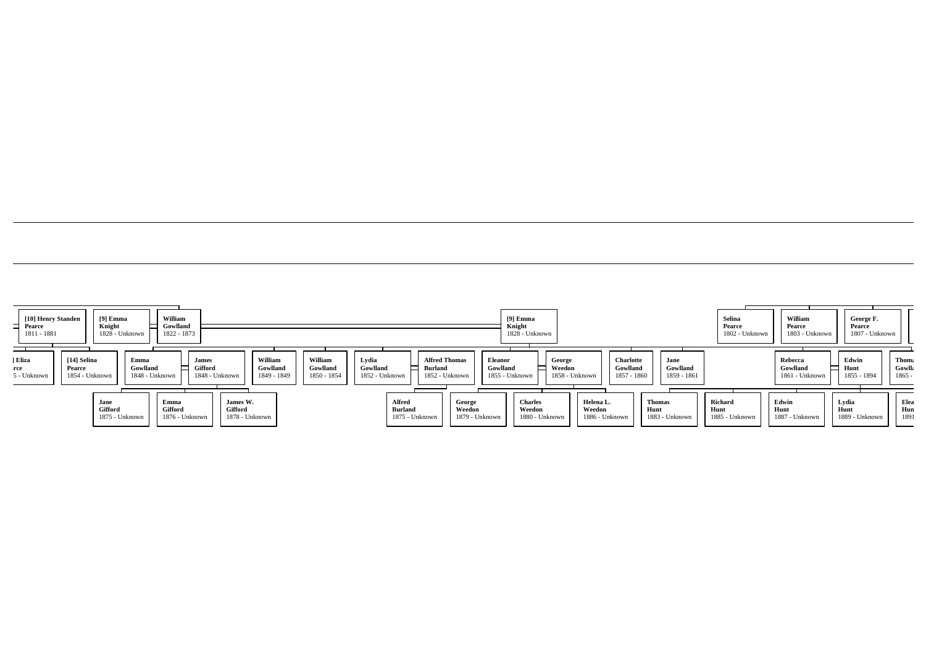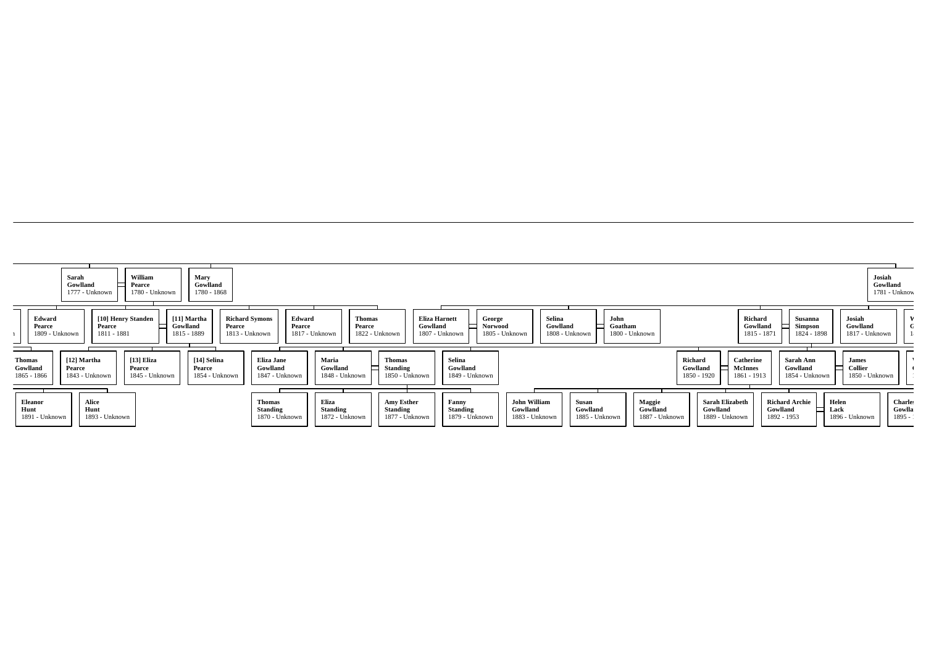|                                          | Gowlland<br>1777 - Unknown              | $\Box$ Pearce<br>1780 - Unknown        | Gowlland<br>1780 - 1868                          |                                                             |                                            |                                                    |                                            |                                            |                                     |                                      |                                                      |                                                   |                                             | Gowlland                                  | 1781 - Unknow                        |
|------------------------------------------|-----------------------------------------|----------------------------------------|--------------------------------------------------|-------------------------------------------------------------|--------------------------------------------|----------------------------------------------------|--------------------------------------------|--------------------------------------------|-------------------------------------|--------------------------------------|------------------------------------------------------|---------------------------------------------------|---------------------------------------------|-------------------------------------------|--------------------------------------|
| Edward<br>Pearce<br>1809 - Unknown       | Pearce<br>1811 - 1881                   | [10] Henry Standen<br>Ξ                | [11] Martha<br>Gowlland<br>Pearce<br>1815 - 1889 | <b>Richard Symons</b><br>Edward<br>Pearce<br>1813 - Unknown | Thomas<br>Pearce<br>1817 - Unknown         | <b>Eliza Harnett</b><br>Gowlland<br>1822 - Unknown | George<br><b>Norwood</b><br>1807 - Unknown | Selina<br>Gowlland<br>1805 - Unknown       | John<br>1808 - Unknown              | Goatham<br>1800 - Unknown            |                                                      | Richard<br>Gowlland<br>1815 - 1871                | Susanna<br><b>Simpson</b><br>1824 - 1898    | Josiah<br>Gowlland<br>1817 - Unknown      | V                                    |
| <b>Thomas</b><br>Gowlland<br>1865 - 1866 | [12] Martha<br>Pearce<br>1843 - Unknown | [13] Eliza<br>Pearce<br>1845 - Unknown | [14] Selina<br>Pearce<br>1854 - Unknown          | Eliza Jane<br>Gowlland<br>1847 - Unknown                    | Maria<br>Gowlland<br>1848 - Unknown        | <b>Thomas</b><br><b>Standing</b><br>1850 - Unknown | Selina<br>Gowlland<br>1849 - Unknown       |                                            |                                     |                                      | Richard<br>Gowlland<br>1850 - 1920                   | <b>Catherine</b><br><b>McInnes</b><br>1861 - 1913 | Sarah Ann<br>Gowlland<br>1854 - Unknown     | <b>James</b><br>Collier<br>1850 - Unknown |                                      |
| <b>Eleanor</b><br>Hunt<br>1891 - Unknown | Alice<br>Hunt<br>1893 - Unknown         |                                        |                                                  | <b>Thomas</b><br>Standing<br>1870 - Unknown                 | Eliza<br><b>Standing</b><br>1872 - Unknown | Amy Esther<br>Standing<br>1877 - Unknown           | Fanny<br>Standing<br>1879 - Unknown        | John William<br>Gowlland<br>1883 - Unknown | Susan<br>Gowlland<br>1885 - Unknown | Maggie<br>Gowlland<br>1887 - Unknown | <b>Sarah Elizabeth</b><br>Gowlland<br>1889 - Unknown | Gowlland<br>1892 - 1953                           | <b>Richard Archie</b><br>Helen<br>Lack<br>═ | 1896 - Unknown                            | <b>Charles</b><br>Gowlla<br>$1895 -$ |